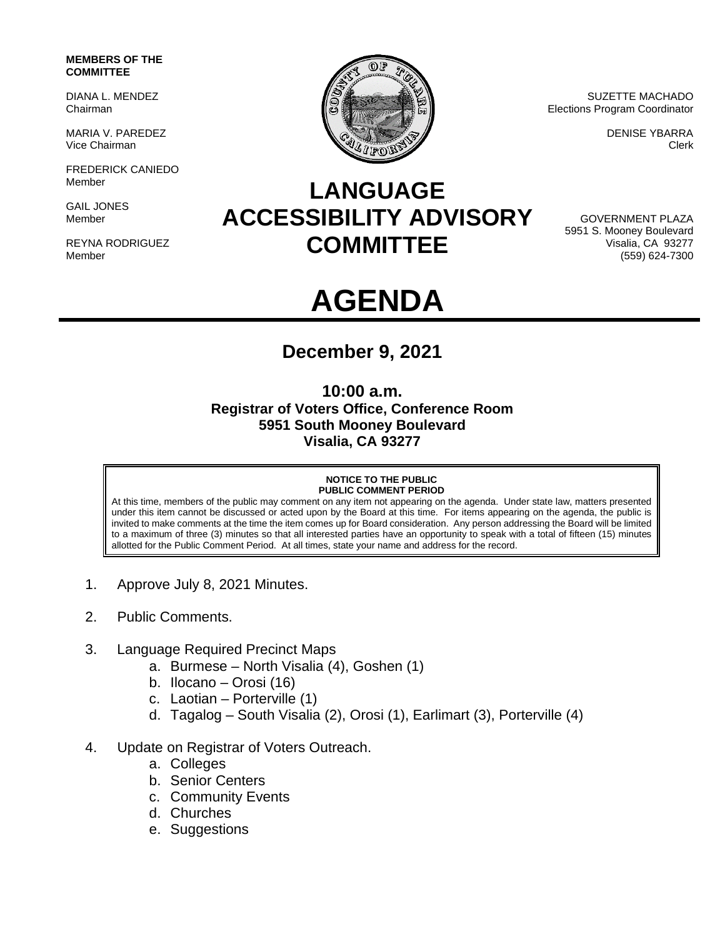### **MEMBERS OF THE COMMITTEE**

DIANA L. MENDEZ Chairman

MARIA V. PAREDEZ Vice Chairman

FREDERICK CANIEDO Member

GAIL JONES Member

REYNA RODRIGUEZ Member



SUZETTE MACHADO Elections Program Coordinator

> DENISE YBARRA Clerk

## **LANGUAGE ACCESSIBILITY ADVISORY COMMITTEE**

GOVERNMENT PLAZA 5951 S. Mooney Boulevard Visalia, CA 93277 (559) 624-7300

# **AGENDA**

## **December 9, 2021**

## **10:00 a.m. Registrar of Voters Office, Conference Room 5951 South Mooney Boulevard Visalia, CA 93277**

### **NOTICE TO THE PUBLIC PUBLIC COMMENT PERIOD**

At this time, members of the public may comment on any item not appearing on the agenda. Under state law, matters presented under this item cannot be discussed or acted upon by the Board at this time. For items appearing on the agenda, the public is invited to make comments at the time the item comes up for Board consideration. Any person addressing the Board will be limited to a maximum of three (3) minutes so that all interested parties have an opportunity to speak with a total of fifteen (15) minutes allotted for the Public Comment Period. At all times, state your name and address for the record.

- 1. Approve July 8, 2021 Minutes.
- 2. Public Comments.
- 3. Language Required Precinct Maps
	- a. Burmese North Visalia (4), Goshen (1)
	- b. Ilocano Orosi (16)
	- c. Laotian Porterville (1)
	- d. Tagalog South Visalia (2), Orosi (1), Earlimart (3), Porterville (4)
- 4. Update on Registrar of Voters Outreach.
	- a. Colleges
	- b. Senior Centers
	- c. Community Events
	- d. Churches
	- e. Suggestions